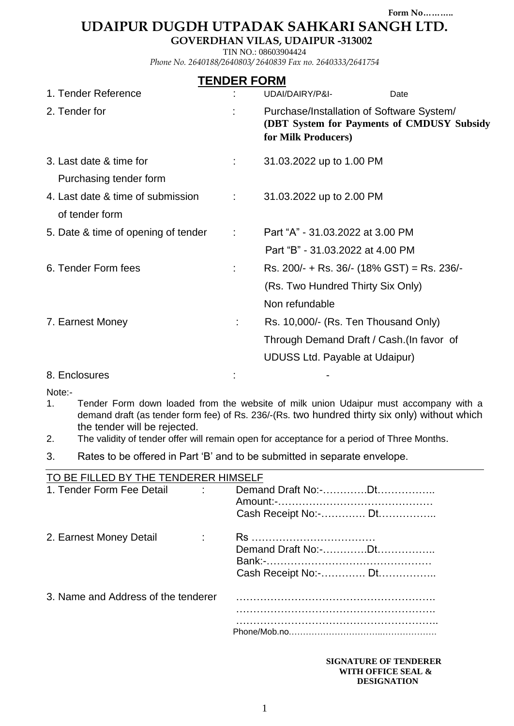**Form No………..**

# **UDAIPUR DUGDH UTPADAK SAHKARI SANGH LTD.**

**GOVERDHAN VILAS, UDAIPUR -313002**

TIN NO.: 08603904424 *Phone No. 2640188/2640803/ 2640839 Fax no. 2640333/2641754*

### **TENDER FORM**

| 1. Tender Reference                                 |   | UDAI/DAIRY/P&I-<br>Date                                                                                                    |
|-----------------------------------------------------|---|----------------------------------------------------------------------------------------------------------------------------|
| 2. Tender for                                       |   | Purchase/Installation of Software System/<br>(DBT System for Payments of CMDUSY Subsidy<br>for Milk Producers)             |
| 3. Last date & time for<br>Purchasing tender form   |   | 31.03.2022 up to 1.00 PM                                                                                                   |
| 4. Last date & time of submission<br>of tender form | ÷ | 31.03.2022 up to 2.00 PM                                                                                                   |
| 5. Date & time of opening of tender                 | ÷ | Part "A" - 31.03.2022 at 3.00 PM<br>Part "B" - 31.03.2022 at 4.00 PM                                                       |
| 6. Tender Form fees                                 |   | Rs. 200/- + Rs. 36/- (18% GST) = Rs. 236/-<br>(Rs. Two Hundred Thirty Six Only)<br>Non refundable                          |
| 7. Earnest Money                                    |   | Rs. 10,000/- (Rs. Ten Thousand Only)<br>Through Demand Draft / Cash. (In favor of<br><b>UDUSS Ltd. Payable at Udaipur)</b> |
| 8. Enclosures                                       |   |                                                                                                                            |

Note:-

- 1. Tender Form down loaded from the website of milk union Udaipur must accompany with a demand draft (as tender form fee) of Rs. 236/-(Rs. two hundred thirty six only) without which the tender will be rejected.
- 2. The validity of tender offer will remain open for acceptance for a period of Three Months.
- 3. Rates to be offered in Part "B" and to be submitted in separate envelope.

| TO BE FILLED BY THE TENDERER HIMSELF |                      |
|--------------------------------------|----------------------|
| 1. Tender Form Fee Detail            |                      |
|                                      |                      |
|                                      | Cash Receipt No:- Dt |
| 2. Earnest Money Detail              |                      |
|                                      |                      |
|                                      |                      |
|                                      | Cash Receipt No:- Dt |
| 3. Name and Address of the tenderer  |                      |
|                                      |                      |
|                                      |                      |
|                                      |                      |
|                                      |                      |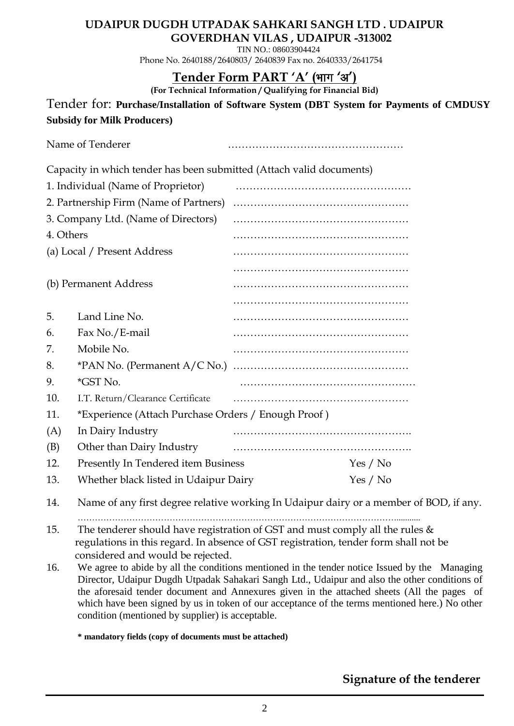### **UDAIPUR DUGDH UTPADAK SAHKARI SANGH LTD . UDAIPUR GOVERDHAN VILAS , UDAIPUR -313002**

 TIN NO.: 08603904424 Phone No. 2640188/2640803/ 2640839 Fax no. 2640333/2641754

# Tender Form PART 'A' (भाग 'अ')

**(For Technical Information / Qualifying for Financial Bid)**

Tender for: **Purchase/Installation of Software System (DBT System for Payments of CMDUSY Subsidy for Milk Producers)**

|                       | Name of Tenderer                                                     |          |
|-----------------------|----------------------------------------------------------------------|----------|
|                       | Capacity in which tender has been submitted (Attach valid documents) |          |
|                       | 1. Individual (Name of Proprietor)                                   |          |
|                       | 2. Partnership Firm (Name of Partners)                               |          |
|                       | 3. Company Ltd. (Name of Directors)                                  |          |
| 4. Others             |                                                                      |          |
|                       | (a) Local / Present Address                                          |          |
|                       |                                                                      |          |
| (b) Permanent Address |                                                                      |          |
|                       |                                                                      |          |
| 5.                    | Land Line No.                                                        |          |
| 6.                    | Fax No./E-mail                                                       |          |
| 7.                    | Mobile No.                                                           |          |
| 8.                    |                                                                      |          |
| 9.                    | <i>*GST No.</i>                                                      |          |
| 10.                   | I.T. Return/Clearance Certificate                                    |          |
| 11.                   | *Experience (Attach Purchase Orders / Enough Proof)                  |          |
| (A)                   | In Dairy Industry                                                    |          |
| (B)                   | Other than Dairy Industry                                            |          |
| 12.                   | Presently In Tendered item Business                                  | Yes / No |
| 13.                   | Whether black listed in Udaipur Dairy                                | Yes / No |

14. Name of any first degree relative working In Udaipur dairy or a member of BOD, if any.

…………………………………………………………………………………………………...........

- 15. The tenderer should have registration of GST and must comply all the rules  $\&$  regulations in this regard. In absence of GST registration, tender form shall not be considered and would be rejected.
- 16. We agree to abide by all the conditions mentioned in the tender notice Issued by the Managing Director, Udaipur Dugdh Utpadak Sahakari Sangh Ltd., Udaipur and also the other conditions of the aforesaid tender document and Annexures given in the attached sheets (All the pages of which have been signed by us in token of our acceptance of the terms mentioned here.) No other condition (mentioned by supplier) is acceptable.

**\* mandatory fields (copy of documents must be attached)**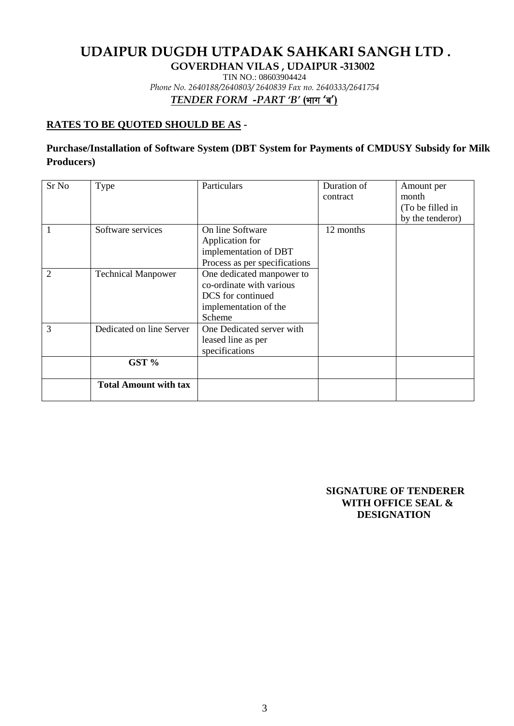# **UDAIPUR DUGDH UTPADAK SAHKARI SANGH LTD .**

**GOVERDHAN VILAS , UDAIPUR -313002**

TIN NO.: 08603904424

*Phone No. 2640188/2640803/ 2640839 Fax no. 2640333/2641754*

*TENDER FORM -PART 'B'* **(**Òkx **'**c**')** 

#### **RATES TO BE QUOTED SHOULD BE AS -**

#### **Purchase/Installation of Software System (DBT System for Payments of CMDUSY Subsidy for Milk Producers)**

| Sr <sub>No</sub> | Type                         | Particulars                                                                                                   | Duration of<br>contract | Amount per<br>month<br>(To be filled in<br>by the tenderor) |
|------------------|------------------------------|---------------------------------------------------------------------------------------------------------------|-------------------------|-------------------------------------------------------------|
| 1                | Software services            | On line Software<br>Application for<br>implementation of DBT<br>Process as per specifications                 | 12 months               |                                                             |
| $\mathfrak{D}$   | <b>Technical Manpower</b>    | One dedicated manpower to<br>co-ordinate with various<br>DCS for continued<br>implementation of the<br>Scheme |                         |                                                             |
| 3                | Dedicated on line Server     | One Dedicated server with<br>leased line as per<br>specifications                                             |                         |                                                             |
|                  | GST %                        |                                                                                                               |                         |                                                             |
|                  | <b>Total Amount with tax</b> |                                                                                                               |                         |                                                             |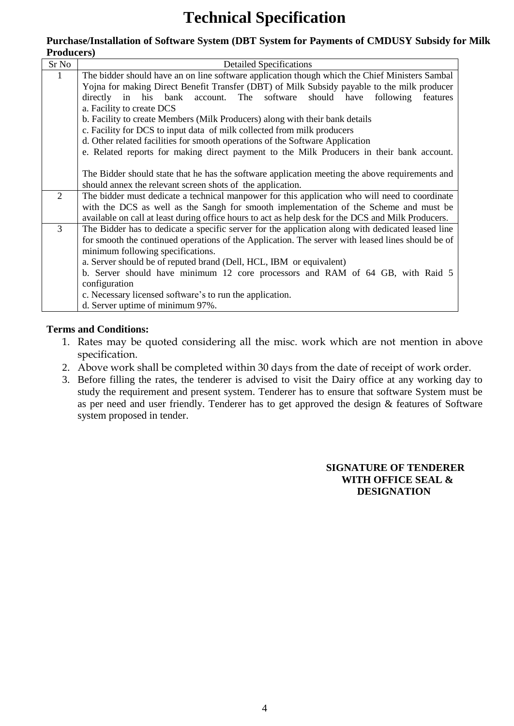# **Technical Specification**

#### **Purchase/Installation of Software System (DBT System for Payments of CMDUSY Subsidy for Milk Producers)**

| Sr No          | <b>Detailed Specifications</b>                                                                     |  |  |  |
|----------------|----------------------------------------------------------------------------------------------------|--|--|--|
| 1              | The bidder should have an on line software application though which the Chief Ministers Sambal     |  |  |  |
|                | Yojna for making Direct Benefit Transfer (DBT) of Milk Subsidy payable to the milk producer        |  |  |  |
|                | account. The software<br>should have<br>in<br>his<br>bank<br>following<br>directly<br>features     |  |  |  |
|                | a. Facility to create DCS                                                                          |  |  |  |
|                | b. Facility to create Members (Milk Producers) along with their bank details                       |  |  |  |
|                | c. Facility for DCS to input data of milk collected from milk producers                            |  |  |  |
|                | d. Other related facilities for smooth operations of the Software Application                      |  |  |  |
|                | e. Related reports for making direct payment to the Milk Producers in their bank account.          |  |  |  |
|                |                                                                                                    |  |  |  |
|                | The Bidder should state that he has the software application meeting the above requirements and    |  |  |  |
|                | should annex the relevant screen shots of the application.                                         |  |  |  |
| $\overline{2}$ | The bidder must dedicate a technical manpower for this application who will need to coordinate     |  |  |  |
|                | with the DCS as well as the Sangh for smooth implementation of the Scheme and must be              |  |  |  |
|                | available on call at least during office hours to act as help desk for the DCS and Milk Producers. |  |  |  |
| 3              | The Bidder has to dedicate a specific server for the application along with dedicated leased line  |  |  |  |
|                | for smooth the continued operations of the Application. The server with leased lines should be of  |  |  |  |
|                | minimum following specifications.                                                                  |  |  |  |
|                | a. Server should be of reputed brand (Dell, HCL, IBM or equivalent)                                |  |  |  |
|                | b. Server should have minimum 12 core processors and RAM of 64 GB, with Raid 5                     |  |  |  |
|                | configuration                                                                                      |  |  |  |
|                | c. Necessary licensed software's to run the application.                                           |  |  |  |
|                | d. Server uptime of minimum 97%.                                                                   |  |  |  |

#### **Terms and Conditions:**

- 1. Rates may be quoted considering all the misc. work which are not mention in above specification.
- 2. Above work shall be completed within 30 days from the date of receipt of work order.
- 3. Before filling the rates, the tenderer is advised to visit the Dairy office at any working day to study the requirement and present system. Tenderer has to ensure that software System must be as per need and user friendly. Tenderer has to get approved the design & features of Software system proposed in tender.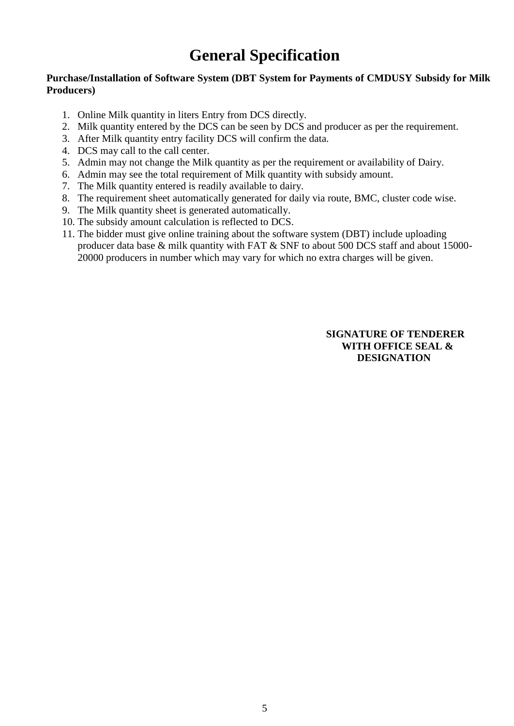# **General Specification**

#### **Purchase/Installation of Software System (DBT System for Payments of CMDUSY Subsidy for Milk Producers)**

- 1. Online Milk quantity in liters Entry from DCS directly.
- 2. Milk quantity entered by the DCS can be seen by DCS and producer as per the requirement.
- 3. After Milk quantity entry facility DCS will confirm the data.
- 4. DCS may call to the call center.
- 5. Admin may not change the Milk quantity as per the requirement or availability of Dairy.
- 6. Admin may see the total requirement of Milk quantity with subsidy amount.
- 7. The Milk quantity entered is readily available to dairy.
- 8. The requirement sheet automatically generated for daily via route, BMC, cluster code wise.
- 9. The Milk quantity sheet is generated automatically.
- 10. The subsidy amount calculation is reflected to DCS.
- 11. The bidder must give online training about the software system (DBT) include uploading producer data base & milk quantity with FAT & SNF to about 500 DCS staff and about 15000- 20000 producers in number which may vary for which no extra charges will be given.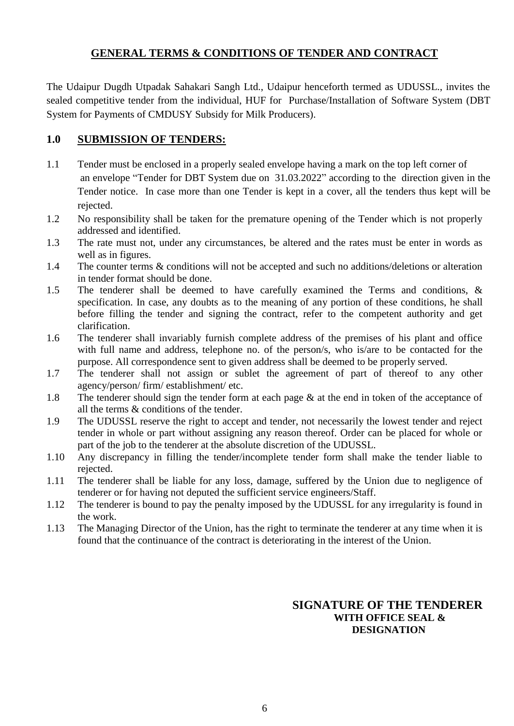#### **GENERAL TERMS & CONDITIONS OF TENDER AND CONTRACT**

The Udaipur Dugdh Utpadak Sahakari Sangh Ltd., Udaipur henceforth termed as UDUSSL., invites the sealed competitive tender from the individual, HUF for Purchase/Installation of Software System (DBT System for Payments of CMDUSY Subsidy for Milk Producers).

#### **1.0 SUBMISSION OF TENDERS:**

- 1.1 Tender must be enclosed in a properly sealed envelope having a mark on the top left corner of an envelope "Tender for DBT System due on 31.03.2022" according to the direction given in the Tender notice. In case more than one Tender is kept in a cover, all the tenders thus kept will be rejected.
- 1.2 No responsibility shall be taken for the premature opening of the Tender which is not properly addressed and identified.
- 1.3 The rate must not, under any circumstances, be altered and the rates must be enter in words as well as in figures.
- 1.4 The counter terms & conditions will not be accepted and such no additions/deletions or alteration in tender format should be done.
- 1.5 The tenderer shall be deemed to have carefully examined the Terms and conditions, & specification. In case, any doubts as to the meaning of any portion of these conditions, he shall before filling the tender and signing the contract, refer to the competent authority and get clarification.
- 1.6 The tenderer shall invariably furnish complete address of the premises of his plant and office with full name and address, telephone no. of the person/s, who is/are to be contacted for the purpose. All correspondence sent to given address shall be deemed to be properly served.
- 1.7 The tenderer shall not assign or sublet the agreement of part of thereof to any other agency/person/ firm/ establishment/ etc.
- 1.8 The tenderer should sign the tender form at each page & at the end in token of the acceptance of all the terms & conditions of the tender.
- 1.9 The UDUSSL reserve the right to accept and tender, not necessarily the lowest tender and reject tender in whole or part without assigning any reason thereof. Order can be placed for whole or part of the job to the tenderer at the absolute discretion of the UDUSSL.
- 1.10 Any discrepancy in filling the tender/incomplete tender form shall make the tender liable to rejected.
- 1.11 The tenderer shall be liable for any loss, damage, suffered by the Union due to negligence of tenderer or for having not deputed the sufficient service engineers/Staff.
- 1.12 The tenderer is bound to pay the penalty imposed by the UDUSSL for any irregularity is found in the work.
- 1.13 The Managing Director of the Union, has the right to terminate the tenderer at any time when it is found that the continuance of the contract is deteriorating in the interest of the Union.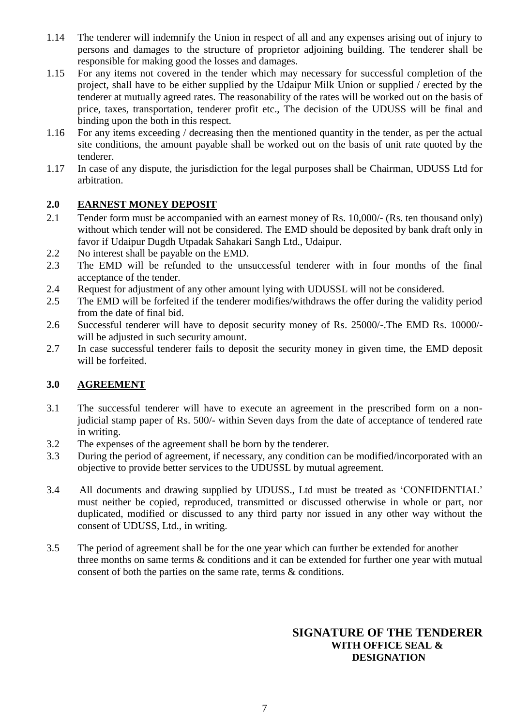- 1.14 The tenderer will indemnify the Union in respect of all and any expenses arising out of injury to persons and damages to the structure of proprietor adjoining building. The tenderer shall be responsible for making good the losses and damages.
- 1.15 For any items not covered in the tender which may necessary for successful completion of the project, shall have to be either supplied by the Udaipur Milk Union or supplied / erected by the tenderer at mutually agreed rates. The reasonability of the rates will be worked out on the basis of price, taxes, transportation, tenderer profit etc., The decision of the UDUSS will be final and binding upon the both in this respect.
- 1.16 For any items exceeding / decreasing then the mentioned quantity in the tender, as per the actual site conditions, the amount payable shall be worked out on the basis of unit rate quoted by the tenderer.
- 1.17 In case of any dispute, the jurisdiction for the legal purposes shall be Chairman, UDUSS Ltd for arbitration.

#### **2.0 EARNEST MONEY DEPOSIT**

- 2.1 Tender form must be accompanied with an earnest money of Rs. 10,000/- (Rs. ten thousand only) without which tender will not be considered. The EMD should be deposited by bank draft only in favor if Udaipur Dugdh Utpadak Sahakari Sangh Ltd., Udaipur.
- 2.2 No interest shall be payable on the EMD.
- 2.3 The EMD will be refunded to the unsuccessful tenderer with in four months of the final acceptance of the tender.
- 2.4 Request for adjustment of any other amount lying with UDUSSL will not be considered.
- 2.5 The EMD will be forfeited if the tenderer modifies/withdraws the offer during the validity period from the date of final bid.
- 2.6 Successful tenderer will have to deposit security money of Rs. 25000/-.The EMD Rs. 10000/ will be adjusted in such security amount.
- 2.7 In case successful tenderer fails to deposit the security money in given time, the EMD deposit will be forfeited.

#### **3.0 AGREEMENT**

- 3.1 The successful tenderer will have to execute an agreement in the prescribed form on a nonjudicial stamp paper of Rs. 500/- within Seven days from the date of acceptance of tendered rate in writing.
- 3.2 The expenses of the agreement shall be born by the tenderer.
- 3.3 During the period of agreement, if necessary, any condition can be modified/incorporated with an objective to provide better services to the UDUSSL by mutual agreement.
- 3.4 All documents and drawing supplied by UDUSS., Ltd must be treated as "CONFIDENTIAL" must neither be copied, reproduced, transmitted or discussed otherwise in whole or part, nor duplicated, modified or discussed to any third party nor issued in any other way without the consent of UDUSS, Ltd., in writing.
- 3.5 The period of agreement shall be for the one year which can further be extended for another three months on same terms & conditions and it can be extended for further one year with mutual consent of both the parties on the same rate, terms & conditions.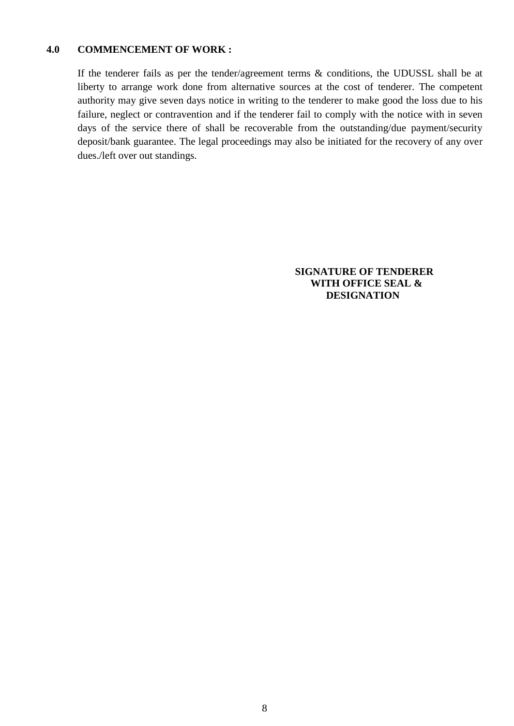#### **4.0 COMMENCEMENT OF WORK :**

If the tenderer fails as per the tender/agreement terms & conditions, the UDUSSL shall be at liberty to arrange work done from alternative sources at the cost of tenderer. The competent authority may give seven days notice in writing to the tenderer to make good the loss due to his failure, neglect or contravention and if the tenderer fail to comply with the notice with in seven days of the service there of shall be recoverable from the outstanding/due payment/security deposit/bank guarantee. The legal proceedings may also be initiated for the recovery of any over dues./left over out standings.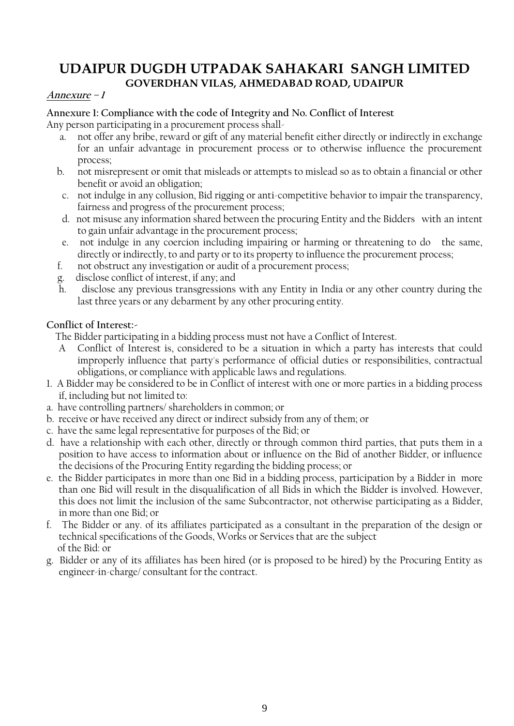#### **Annexure – 1**

#### **Annexure 1: Compliance with the code of Integrity and No. Conflict of Interest**

Any person participating in a procurement process shall-

- a. not offer any bribe, reward or gift of any material benefit either directly or indirectly in exchange for an unfair advantage in procurement process or to otherwise influence the procurement process;
- b. not misrepresent or omit that misleads or attempts to mislead so as to obtain a financial or other benefit or avoid an obligation;
- c. not indulge in any collusion, Bid rigging or anti-competitive behavior to impair the transparency, fairness and progress of the procurement process;
- d. not misuse any information shared between the procuring Entity and the Bidders with an intent to gain unfair advantage in the procurement process;
- e. not indulge in any coercion including impairing or harming or threatening to do the same, directly or indirectly, to and party or to its property to influence the procurement process;
- f. not obstruct any investigation or audit of a procurement process;
- g. disclose conflict of interest, if any; and
- h. disclose any previous transgressions with any Entity in India or any other country during the last three years or any debarment by any other procuring entity.

#### **Conflict of Interest:-**

The Bidder participating in a bidding process must not have a Conflict of Interest.

- Conflict of Interest is, considered to be a situation in which a party has interests that could improperly influence that party's performance of official duties or responsibilities, contractual obligations, or compliance with applicable laws and regulations.
- 1. A Bidder may be considered to be in Conflict of interest with one or more parties in a bidding process if, including but not limited to:
- a. have controlling partners/ shareholders in common; or
- b. receive or have received any direct or indirect subsidy from any of them; or
- c. have the same legal representative for purposes of the Bid; or
- d. have a relationship with each other, directly or through common third parties, that puts them in a position to have access to information about or influence on the Bid of another Bidder, or influence the decisions of the Procuring Entity regarding the bidding process; or
- e. the Bidder participates in more than one Bid in a bidding process, participation by a Bidder in more than one Bid will result in the disqualification of all Bids in which the Bidder is involved. However, this does not limit the inclusion of the same Subcontractor, not otherwise participating as a Bidder, in more than one Bid; or
- f. The Bidder or any. of its affiliates participated as a consultant in the preparation of the design or technical specifications of the Goods, Works or Services that are the subject of the Bid: or
- g. Bidder or any of its affiliates has been hired (or is proposed to be hired) by the Procuring Entity as engineer-in-charge/ consultant for the contract.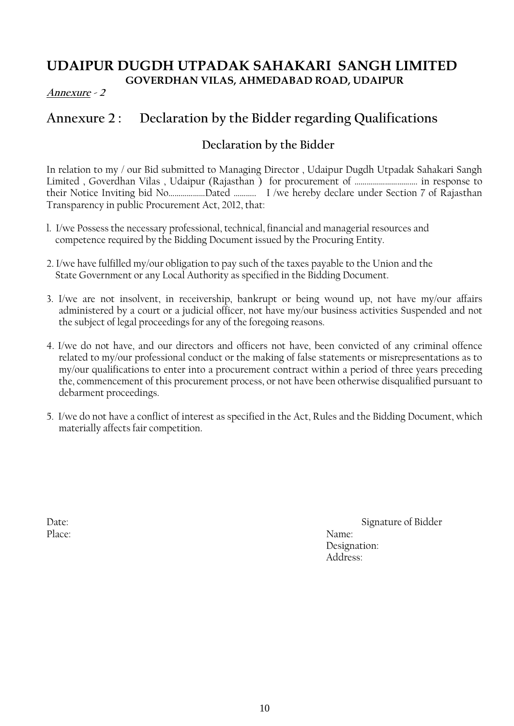#### **Annexure - 2**

# **Annexure 2 : Declaration by the Bidder regarding Qualifications**

### **Declaration by the Bidder**

In relation to my / our Bid submitted to Managing Director , Udaipur Dugdh Utpadak Sahakari Sangh Limited , Goverdhan Vilas , Udaipur (Rajasthan ) for procurement of …………………………. in response to their Notice Inviting bid No………………Dated ……….. I /we hereby declare under Section 7 of Rajasthan Transparency in public Procurement Act, 2012, that:

- l. I/we Possess the necessary professional, technical, financial and managerial resources and competence required by the Bidding Document issued by the Procuring Entity.
- 2. I/we have fulfilled my/our obligation to pay such of the taxes payable to the Union and the State Government or any Local Authority as specified in the Bidding Document.
- 3. I/we are not insolvent, in receivership, bankrupt or being wound up, not have my/our affairs administered by a court or a judicial officer, not have my/our business activities Suspended and not the subject of legal proceedings for any of the foregoing reasons.
- 4. I/we do not have, and our directors and officers not have, been convicted of any criminal offence related to my/our professional conduct or the making of false statements or misrepresentations as to my/our qualifications to enter into a procurement contract within a period of three years preceding the, commencement of this procurement process, or not have been otherwise disqualified pursuant to debarment proceedings.
- 5. I/we do not have a conflict of interest as specified in the Act, Rules and the Bidding Document, which materially affects fair competition.

Place: Name:

Date: Signature of Bidder Designation: Address: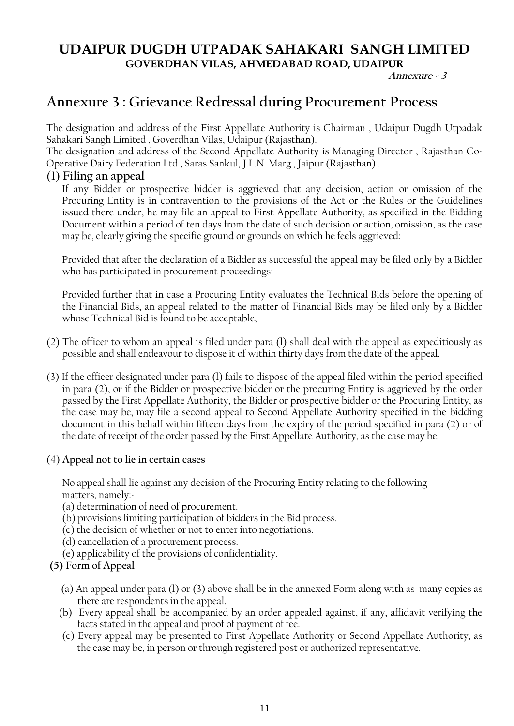#### **Annexure - <sup>3</sup>**

# **Annexure 3 : Grievance Redressal during Procurement Process**

The designation and address of the First Appellate Authority is Chairman , Udaipur Dugdh Utpadak Sahakari Sangh Limited , Goverdhan Vilas, Udaipur (Rajasthan).

The designation and address of the Second Appellate Authority is Managing Director , Rajasthan Co-Operative Dairy Federation Ltd , Saras Sankul, J.L.N. Marg , Jaipur (Rajasthan) .

#### (1) **Filing an appeal**

If any Bidder or prospective bidder is aggrieved that any decision, action or omission of the Procuring Entity is in contravention to the provisions of the Act or the Rules or the Guidelines issued there under, he may file an appeal to First Appellate Authority, as specified in the Bidding Document within a period of ten days from the date of such decision or action, omission, as the case may be, clearly giving the specific ground or grounds on which he feels aggrieved:

Provided that after the declaration of a Bidder as successful the appeal may be filed only by a Bidder who has participated in procurement proceedings:

Provided further that in case a Procuring Entity evaluates the Technical Bids before the opening of the Financial Bids, an appeal related to the matter of Financial Bids may be filed only by a Bidder whose Technical Bid is found to be acceptable,

- (2) The officer to whom an appeal is filed under para (l) shall deal with the appeal as expeditiously as possible and shall endeavour to dispose it of within thirty days from the date of the appeal.
- (3) If the officer designated under para (l) fails to dispose of the appeal filed within the period specified in para (2), or if the Bidder or prospective bidder or the procuring Entity is aggrieved by the order passed by the First Appellate Authority, the Bidder or prospective bidder or the Procuring Entity, as the case may be, may file a second appeal to Second Appellate Authority specified in the bidding document in this behalf within fifteen days from the expiry of the period specified in para (2) or of the date of receipt of the order passed by the First Appellate Authority, as the case may be.

#### (4) **Appeal not to lie in certain cases**

No appeal shall lie against any decision of the Procuring Entity relating to the following matters, namely:-

- (a) determination of need of procurement.
- (b) provisions limiting participation of bidders in the Bid process.
- (c) the decision of whether or not to enter into negotiations.
- (d) cancellation of a procurement process.
- (e) applicability of the provisions of confidentiality.

#### **(5) Form of Appeal**

- (a) An appeal under para (l) or (3) above shall be in the annexed Form along with as many copies as there are respondents in the appeal.
- (b) Every appeal shall be accompanied by an order appealed against, if any, affidavit verifying the facts stated in the appeal and proof of payment of fee.
- (c) Every appeal may be presented to First Appellate Authority or Second Appellate Authority, as the case may be, in person or through registered post or authorized representative.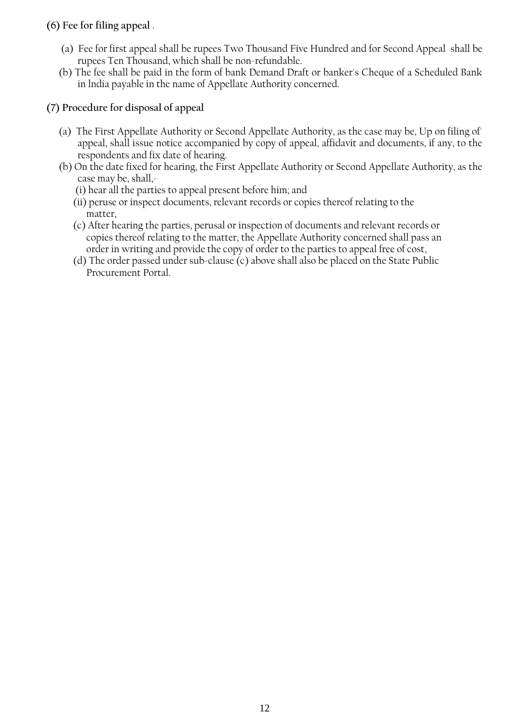#### **(6) Fee for filing appeal** .

- (a) Fee for first appeal shall be rupees Two Thousand Five Hundred and for Second Appeal shall be rupees Ten Thousand, which shall be non-refundable.
- (b) The fee shall be paid in the form of bank Demand Draft or banker's Cheque of a Scheduled Bank in lndia payable in the name of Appellate Authority concerned.

### **(7) Procedure for disposal of appeal**

- (a) The First Appellate Authority or Second Appellate Authority, as the case may be, Up on filing of' appeal, shall issue notice accompanied by copy of appeal, affidavit and documents, if any, to the respondents and fix date of hearing.
- (b) On the date fixed for hearing, the First Appellate Authority or Second Appellate Authority, as the case may be, shall,-
	- (i) hear all the parties to appeal present before him; and
	- (ii) peruse or inspect documents, relevant records or copies thereof relating to the matter,
	- (c) After hearing the parties, perusal or inspection of documents and relevant records or copies thereof relating to the matter, the Appellate Authority concerned shall pass an order in writing and provide the copy of order to the parties to appeal free of cost,
	- (d) The order passed under sub-clause (c) above shall also be placed on the State Public Procurement Portal.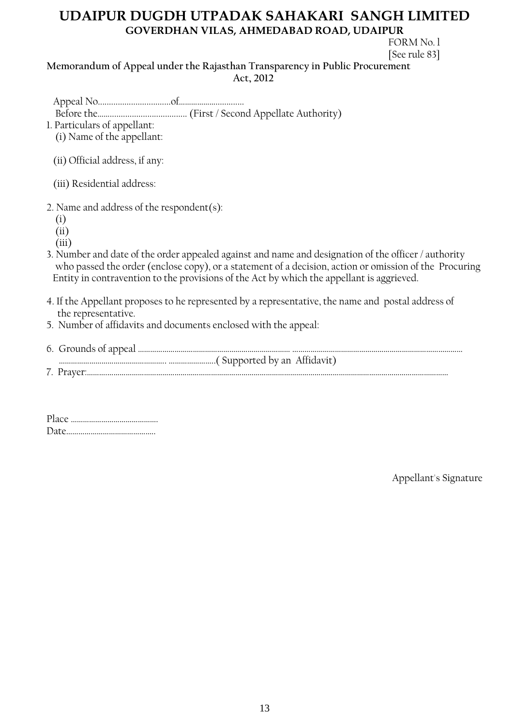FORM No. l [See rule 83]

**Memorandum of Appeal under the Rajasthan Transparency in Public Procurement Act, 2012**

Appeal No.................................of……………….............

- Before the……................................... (First / Second Appellate Authority)
- 1. Particulars of appellant:

(i) Name of the appellant:

(ii) Official address, if any:

(iii) Residential address:

- 2. Name and address of the respondent(s):
	- (i)
	- (ii)

(iii)

- 3. Number and date of the order appealed against and name and designation of the officer / authority who passed the order (enclose copy), or a statement of a decision, action or omission of the Procuring Entity in contravention to the provisions of the Act by which the appellant is aggrieved.
- 4. If the Appellant proposes to he represented by a representative, the name and postal address of the representative.
- 5. Number of affidavits and documents enclosed with the appeal:

| 7. Praver |
|-----------|
|           |

Appellant's Signature